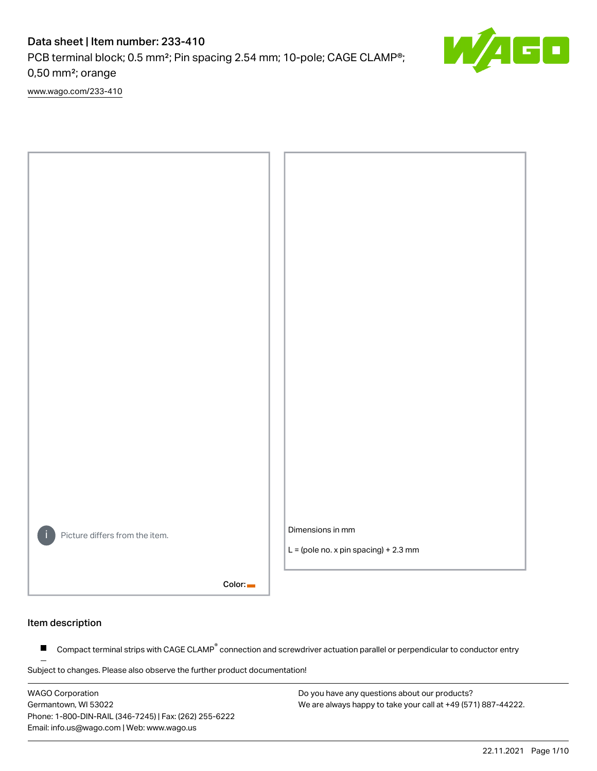## Data sheet | Item number: 233-410

PCB terminal block; 0.5 mm²; Pin spacing 2.54 mm; 10-pole; CAGE CLAMP®; 0,50 mm²; orange

[www.wago.com/233-410](http://www.wago.com/233-410)



## Item description

Compact terminal strips with CAGE CLAMP<sup>®</sup> connection and screwdriver actuation parallel or perpendicular to conductor entry  $\blacksquare$ 

Subject to changes. Please also observe the further product documentation!

WAGO Corporation Germantown, WI 53022 Phone: 1-800-DIN-RAIL (346-7245) | Fax: (262) 255-6222 Email: info.us@wago.com | Web: www.wago.us

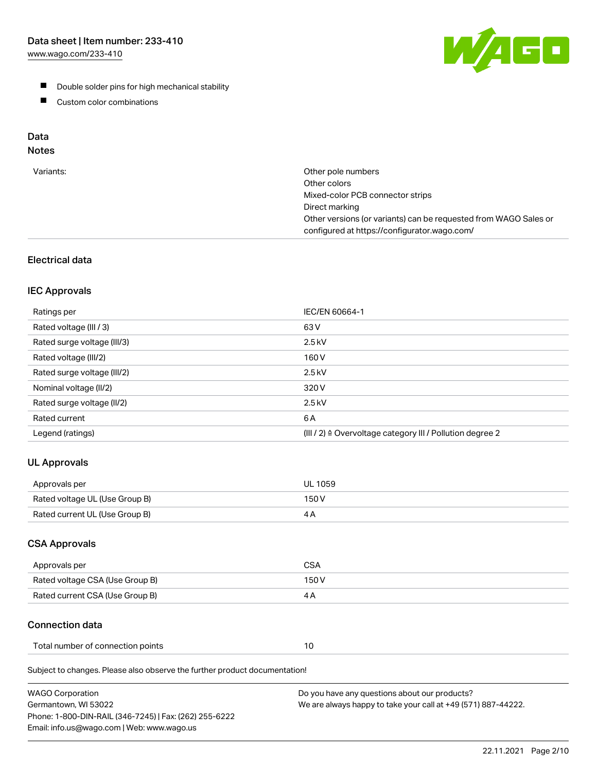[www.wago.com/233-410](http://www.wago.com/233-410)



- **Double solder pins for high mechanical stability**
- **Custom color combinations**

# Data

# Notes

| Variants: | Other pole numbers<br>Other colors<br>Mixed-color PCB connector strips<br>Direct marking<br>Other versions (or variants) can be requested from WAGO Sales or<br>configured at https://configurator.wago.com/ |
|-----------|--------------------------------------------------------------------------------------------------------------------------------------------------------------------------------------------------------------|
|           |                                                                                                                                                                                                              |

## Electrical data

## IEC Approvals

| Ratings per                 | IEC/EN 60664-1                                                        |
|-----------------------------|-----------------------------------------------------------------------|
| Rated voltage (III / 3)     | 63 V                                                                  |
| Rated surge voltage (III/3) | $2.5$ kV                                                              |
| Rated voltage (III/2)       | 160 V                                                                 |
| Rated surge voltage (III/2) | $2.5$ kV                                                              |
| Nominal voltage (II/2)      | 320 V                                                                 |
| Rated surge voltage (II/2)  | $2.5$ kV                                                              |
| Rated current               | 6 A                                                                   |
| Legend (ratings)            | $(III / 2)$ $\triangle$ Overvoltage category III / Pollution degree 2 |

## UL Approvals

| Approvals per                  | UL 1059 |
|--------------------------------|---------|
| Rated voltage UL (Use Group B) | 150 V   |
| Rated current UL (Use Group B) |         |

## CSA Approvals

| Approvals per                   | CSA   |
|---------------------------------|-------|
| Rated voltage CSA (Use Group B) | 150 V |
| Rated current CSA (Use Group B) | 4 A   |

## Connection data

| Total number of connection points |  |
|-----------------------------------|--|
|-----------------------------------|--|

Subject to changes. Please also observe the further product documentation!

| <b>WAGO Corporation</b>                                | Do you have any questions about our products?                 |
|--------------------------------------------------------|---------------------------------------------------------------|
| Germantown, WI 53022                                   | We are always happy to take your call at +49 (571) 887-44222. |
| Phone: 1-800-DIN-RAIL (346-7245)   Fax: (262) 255-6222 |                                                               |
| Email: info.us@wago.com   Web: www.wago.us             |                                                               |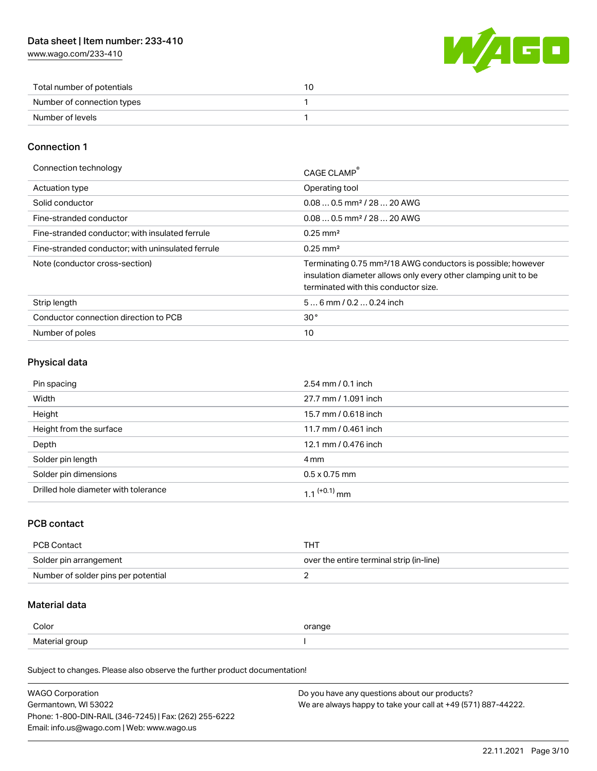[www.wago.com/233-410](http://www.wago.com/233-410)



| Total number of potentials |  |
|----------------------------|--|
| Number of connection types |  |
| Number of levels           |  |

## Connection 1

| Connection technology                             | CAGE CLAMP <sup>®</sup>                                                                                                                                                             |
|---------------------------------------------------|-------------------------------------------------------------------------------------------------------------------------------------------------------------------------------------|
| Actuation type                                    | Operating tool                                                                                                                                                                      |
| Solid conductor                                   | $0.080.5$ mm <sup>2</sup> / 28  20 AWG                                                                                                                                              |
| Fine-stranded conductor                           | $0.080.5$ mm <sup>2</sup> / 28  20 AWG                                                                                                                                              |
| Fine-stranded conductor; with insulated ferrule   | $0.25 \text{ mm}^2$                                                                                                                                                                 |
| Fine-stranded conductor; with uninsulated ferrule | $0.25 \text{ mm}^2$                                                                                                                                                                 |
| Note (conductor cross-section)                    | Terminating 0.75 mm <sup>2</sup> /18 AWG conductors is possible; however<br>insulation diameter allows only every other clamping unit to be<br>terminated with this conductor size. |
| Strip length                                      | $56$ mm $/ 0.20.24$ inch                                                                                                                                                            |
| Conductor connection direction to PCB             | 30 <sup>°</sup>                                                                                                                                                                     |
| Number of poles                                   | 10                                                                                                                                                                                  |

## Physical data

| Pin spacing                          | $2.54 \, \text{mm}$ / 0.1 inch |
|--------------------------------------|--------------------------------|
| Width                                | 27.7 mm / 1.091 inch           |
| Height                               | 15.7 mm / 0.618 inch           |
| Height from the surface              | 11.7 mm / 0.461 inch           |
| Depth                                | 12.1 mm / 0.476 inch           |
| Solder pin length                    | 4 mm                           |
| Solder pin dimensions                | $0.5 \times 0.75$ mm           |
| Drilled hole diameter with tolerance | 1 1 $(+0.1)$ mm                |

## PCB contact

| PCB Contact                         | THì                                      |
|-------------------------------------|------------------------------------------|
| Solder pin arrangement              | over the entire terminal strip (in-line) |
| Number of solder pins per potential |                                          |

## Material data

| Color          | orange |
|----------------|--------|
| Material group |        |

Subject to changes. Please also observe the further product documentation!

| <b>WAGO Corporation</b>                                | Do you have any questions about our products?                 |
|--------------------------------------------------------|---------------------------------------------------------------|
| Germantown, WI 53022                                   | We are always happy to take your call at +49 (571) 887-44222. |
| Phone: 1-800-DIN-RAIL (346-7245)   Fax: (262) 255-6222 |                                                               |
| Email: info.us@wago.com   Web: www.wago.us             |                                                               |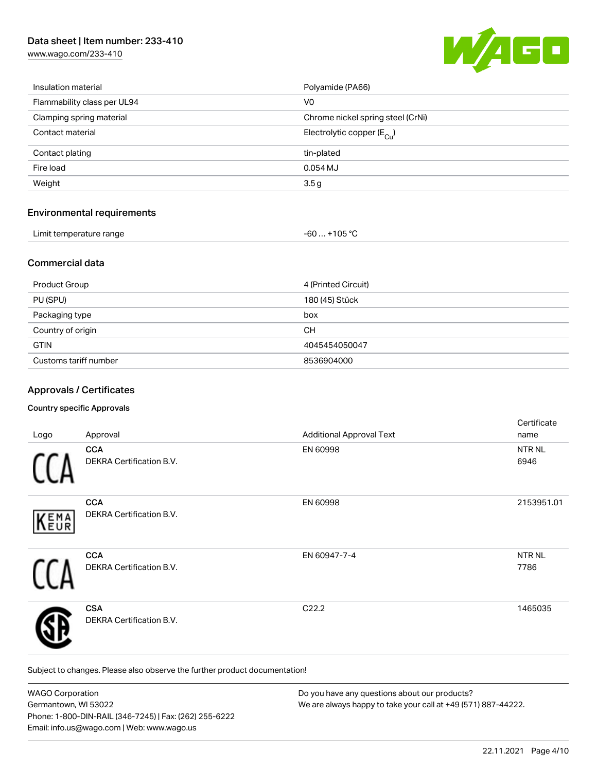## Data sheet | Item number: 233-410

[www.wago.com/233-410](http://www.wago.com/233-410)



| Insulation material         | Polyamide (PA66)                      |
|-----------------------------|---------------------------------------|
| Flammability class per UL94 | V <sub>0</sub>                        |
| Clamping spring material    | Chrome nickel spring steel (CrNi)     |
| Contact material            | Electrolytic copper $(E_{\text{Cl}})$ |
| Contact plating             | tin-plated                            |
| Fire load                   | $0.054$ MJ                            |
| Weight                      | 3.5g                                  |
|                             |                                       |

## Environmental requirements

| Limit temperature range |  |
|-------------------------|--|
|                         |  |

## Commercial data

| <b>Product Group</b>  | 4 (Printed Circuit) |
|-----------------------|---------------------|
| PU (SPU)              | 180 (45) Stück      |
| Packaging type        | box                 |
| Country of origin     | CН                  |
| <b>GTIN</b>           | 4045454050047       |
| Customs tariff number | 8536904000          |

 $-60... +105 °C$ 

## Approvals / Certificates

#### Country specific Approvals

| Logo | Approval                                      | <b>Additional Approval Text</b> | Certificate<br>name   |
|------|-----------------------------------------------|---------------------------------|-----------------------|
|      | <b>CCA</b><br><b>DEKRA Certification B.V.</b> | EN 60998                        | NTR NL<br>6946        |
| KEMA | <b>CCA</b><br>DEKRA Certification B.V.        | EN 60998                        | 2153951.01            |
|      | <b>CCA</b><br>DEKRA Certification B.V.        | EN 60947-7-4                    | <b>NTR NL</b><br>7786 |
|      | <b>CSA</b><br><b>DEKRA Certification B.V.</b> | C22.2                           | 1465035               |

Subject to changes. Please also observe the further product documentation!

| <b>WAGO Corporation</b>                                | Do you have any questions about our products?                 |
|--------------------------------------------------------|---------------------------------------------------------------|
| Germantown, WI 53022                                   | We are always happy to take your call at +49 (571) 887-44222. |
| Phone: 1-800-DIN-RAIL (346-7245)   Fax: (262) 255-6222 |                                                               |
| Email: info.us@wago.com   Web: www.wago.us             |                                                               |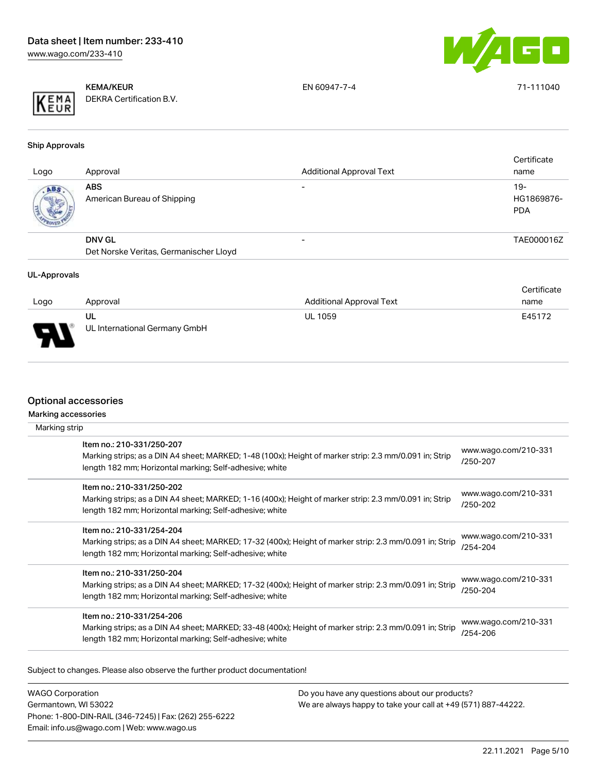



KEMA/KEUR DEKRA Certification B.V. EN 60947-7-4 71-111040

Ship Approvals

| Logo | Approval                                  | <b>Additional Approval Text</b> | Certificate<br>name                |
|------|-------------------------------------------|---------------------------------|------------------------------------|
| ABS. | <b>ABS</b><br>American Bureau of Shipping |                                 | $19 -$<br>HG1869876-<br><b>PDA</b> |
|      | <b>DNV GL</b>                             |                                 | TAE000016Z                         |
|      | Det Norske Veritas, Germanischer Lloyd    |                                 |                                    |
|      |                                           |                                 |                                    |

#### UL-Approvals

|                        |                                     |                                 | Certificate |
|------------------------|-------------------------------------|---------------------------------|-------------|
| Logo                   | Approval                            | <b>Additional Approval Text</b> | name        |
| J<br>$\mathbf{r}$<br>. | ul<br>UL International Germany GmbH | <b>UL 1059</b>                  | E45172      |

## Optional accessories

Marking accessories

| Marking strip |                                                                                                                                                                                                 |                                  |
|---------------|-------------------------------------------------------------------------------------------------------------------------------------------------------------------------------------------------|----------------------------------|
|               | Item no.: 210-331/250-207<br>Marking strips; as a DIN A4 sheet; MARKED; 1-48 (100x); Height of marker strip: 2.3 mm/0.091 in; Strip<br>length 182 mm; Horizontal marking; Self-adhesive; white  | www.wago.com/210-331<br>/250-207 |
|               | Item no.: 210-331/250-202<br>Marking strips; as a DIN A4 sheet; MARKED; 1-16 (400x); Height of marker strip: 2.3 mm/0.091 in; Strip<br>length 182 mm; Horizontal marking; Self-adhesive; white  | www.wago.com/210-331<br>/250-202 |
|               | Item no.: 210-331/254-204<br>Marking strips; as a DIN A4 sheet; MARKED; 17-32 (400x); Height of marker strip: 2.3 mm/0.091 in; Strip<br>length 182 mm; Horizontal marking; Self-adhesive; white | www.wago.com/210-331<br>/254-204 |
|               | Item no.: 210-331/250-204<br>Marking strips; as a DIN A4 sheet; MARKED; 17-32 (400x); Height of marker strip: 2.3 mm/0.091 in; Strip<br>length 182 mm; Horizontal marking; Self-adhesive; white | www.wago.com/210-331<br>/250-204 |
|               | Item no.: 210-331/254-206<br>Marking strips; as a DIN A4 sheet; MARKED; 33-48 (400x); Height of marker strip: 2.3 mm/0.091 in; Strip<br>length 182 mm; Horizontal marking; Self-adhesive; white | www.wago.com/210-331<br>/254-206 |

Subject to changes. Please also observe the further product documentation!

WAGO Corporation Germantown, WI 53022 Phone: 1-800-DIN-RAIL (346-7245) | Fax: (262) 255-6222 Email: info.us@wago.com | Web: www.wago.us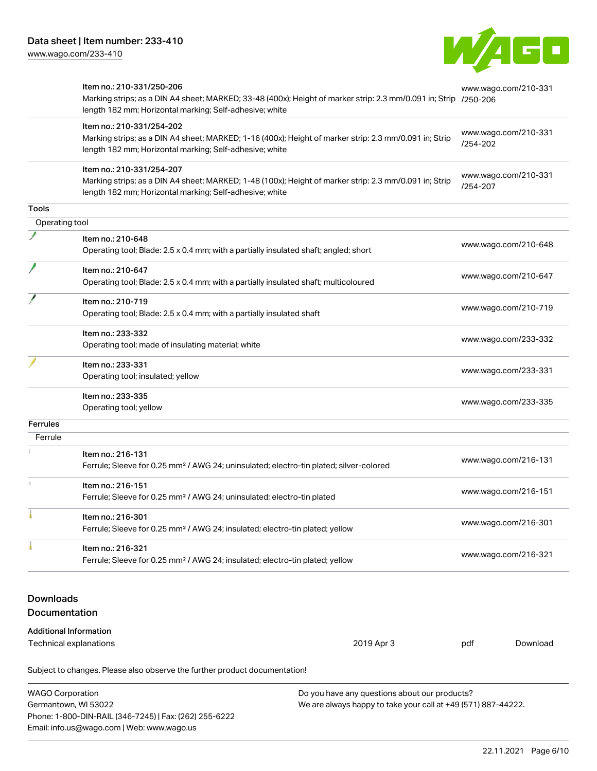Phone: 1-800-DIN-RAIL (346-7245) | Fax: (262) 255-6222

Email: info.us@wago.com | Web: www.wago.us



|                         | Item no.: 210-331/250-206<br>Marking strips; as a DIN A4 sheet; MARKED; 33-48 (400x); Height of marker strip: 2.3 mm/0.091 in; Strip /250-206<br>length 182 mm; Horizontal marking; Self-adhesive; white |                                                                                                                |          | www.wago.com/210-331 |
|-------------------------|----------------------------------------------------------------------------------------------------------------------------------------------------------------------------------------------------------|----------------------------------------------------------------------------------------------------------------|----------|----------------------|
|                         | Item no.: 210-331/254-202<br>Marking strips; as a DIN A4 sheet; MARKED; 1-16 (400x); Height of marker strip: 2.3 mm/0.091 in; Strip<br>length 182 mm; Horizontal marking; Self-adhesive; white           |                                                                                                                | /254-202 | www.wago.com/210-331 |
|                         | Item no.: 210-331/254-207<br>Marking strips; as a DIN A4 sheet; MARKED; 1-48 (100x); Height of marker strip: 2.3 mm/0.091 in; Strip<br>length 182 mm; Horizontal marking; Self-adhesive; white           |                                                                                                                | /254-207 | www.wago.com/210-331 |
| Tools                   |                                                                                                                                                                                                          |                                                                                                                |          |                      |
| Operating tool          |                                                                                                                                                                                                          |                                                                                                                |          |                      |
|                         | Item no.: 210-648<br>Operating tool; Blade: 2.5 x 0.4 mm; with a partially insulated shaft; angled; short                                                                                                |                                                                                                                |          | www.wago.com/210-648 |
|                         | Item no.: 210-647<br>Operating tool; Blade: 2.5 x 0.4 mm; with a partially insulated shaft; multicoloured                                                                                                |                                                                                                                |          | www.wago.com/210-647 |
|                         | Item no.: 210-719<br>Operating tool; Blade: 2.5 x 0.4 mm; with a partially insulated shaft                                                                                                               |                                                                                                                |          | www.wago.com/210-719 |
|                         | Item no.: 233-332<br>Operating tool; made of insulating material; white                                                                                                                                  |                                                                                                                |          | www.wago.com/233-332 |
|                         | Item no.: 233-331<br>Operating tool; insulated; yellow                                                                                                                                                   |                                                                                                                |          | www.wago.com/233-331 |
|                         | Item no.: 233-335<br>Operating tool; yellow                                                                                                                                                              |                                                                                                                |          | www.wago.com/233-335 |
| <b>Ferrules</b>         |                                                                                                                                                                                                          |                                                                                                                |          |                      |
| Ferrule                 |                                                                                                                                                                                                          |                                                                                                                |          |                      |
|                         | Item no.: 216-131<br>Ferrule; Sleeve for 0.25 mm <sup>2</sup> / AWG 24; uninsulated; electro-tin plated; silver-colored                                                                                  |                                                                                                                |          | www.wago.com/216-131 |
|                         | Item no.: 216-151<br>Ferrule; Sleeve for 0.25 mm <sup>2</sup> / AWG 24; uninsulated; electro-tin plated                                                                                                  |                                                                                                                |          | www.wago.com/216-151 |
|                         | Item no.: 216-301<br>Ferrule; Sleeve for 0.25 mm <sup>2</sup> / AWG 24; insulated; electro-tin plated; yellow                                                                                            |                                                                                                                |          | www.wago.com/216-301 |
|                         | Item no.: 216-321<br>Ferrule; Sleeve for 0.25 mm <sup>2</sup> / AWG 24; insulated; electro-tin plated; yellow                                                                                            |                                                                                                                |          | www.wago.com/216-321 |
| <b>Downloads</b>        |                                                                                                                                                                                                          |                                                                                                                |          |                      |
| Documentation           |                                                                                                                                                                                                          |                                                                                                                |          |                      |
|                         | <b>Additional Information</b><br>Technical explanations                                                                                                                                                  | 2019 Apr 3                                                                                                     | pdf      | Download             |
|                         | Subject to changes. Please also observe the further product documentation!                                                                                                                               |                                                                                                                |          |                      |
| <b>WAGO Corporation</b> | Germantown, WI 53022                                                                                                                                                                                     | Do you have any questions about our products?<br>We are always happy to take your call at +49 (571) 887-44222. |          |                      |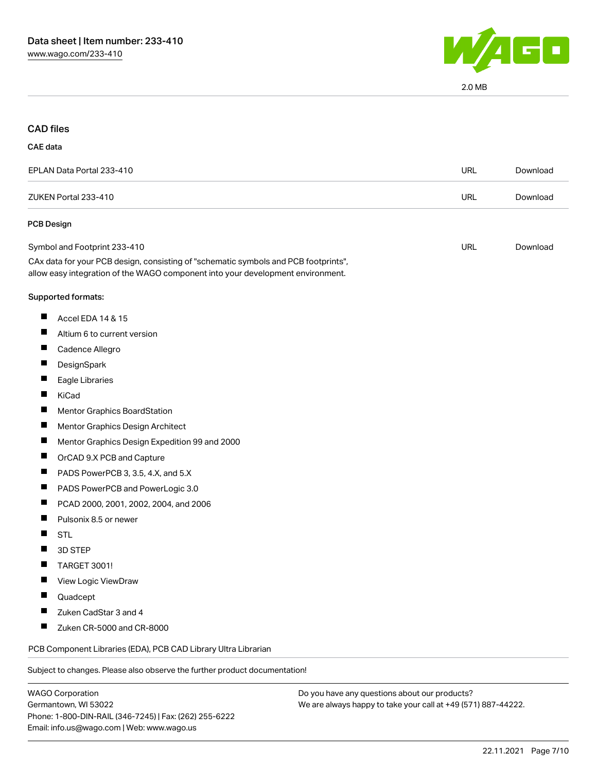

2.0 MB

## CAD files

#### CAE data

| EPLAN Data Portal 233-410                                                                                                                                              | URL | Download |
|------------------------------------------------------------------------------------------------------------------------------------------------------------------------|-----|----------|
| ZUKEN Portal 233-410                                                                                                                                                   | URL | Download |
| <b>PCB Design</b>                                                                                                                                                      |     |          |
| Symbol and Footprint 233-410                                                                                                                                           | URL | Download |
| CAx data for your PCB design, consisting of "schematic symbols and PCB footprints",<br>allow easy integration of the WAGO component into your development environment. |     |          |
| Supported formats:                                                                                                                                                     |     |          |

- $\blacksquare$ Accel EDA 14 & 15
- $\blacksquare$ Altium 6 to current version
- $\blacksquare$ Cadence Allegro
- $\blacksquare$ **DesignSpark**
- $\blacksquare$ Eagle Libraries
- $\blacksquare$ KiCad
- $\blacksquare$ Mentor Graphics BoardStation
- $\blacksquare$ Mentor Graphics Design Architect
- $\blacksquare$ Mentor Graphics Design Expedition 99 and 2000
- $\blacksquare$ OrCAD 9.X PCB and Capture
- $\blacksquare$ PADS PowerPCB 3, 3.5, 4.X, and 5.X
- $\blacksquare$ PADS PowerPCB and PowerLogic 3.0
- $\blacksquare$ PCAD 2000, 2001, 2002, 2004, and 2006
- $\blacksquare$ Pulsonix 8.5 or newer
- П **STL**
- $\blacksquare$ 3D STEP
- TARGET 3001!  $\blacksquare$
- $\blacksquare$ View Logic ViewDraw
- $\blacksquare$ Quadcept
- $\blacksquare$ Zuken CadStar 3 and 4
- $\blacksquare$ Zuken CR-5000 and CR-8000

PCB Component Libraries (EDA), PCB CAD Library Ultra Librarian

Subject to changes. Please also observe the further product documentation!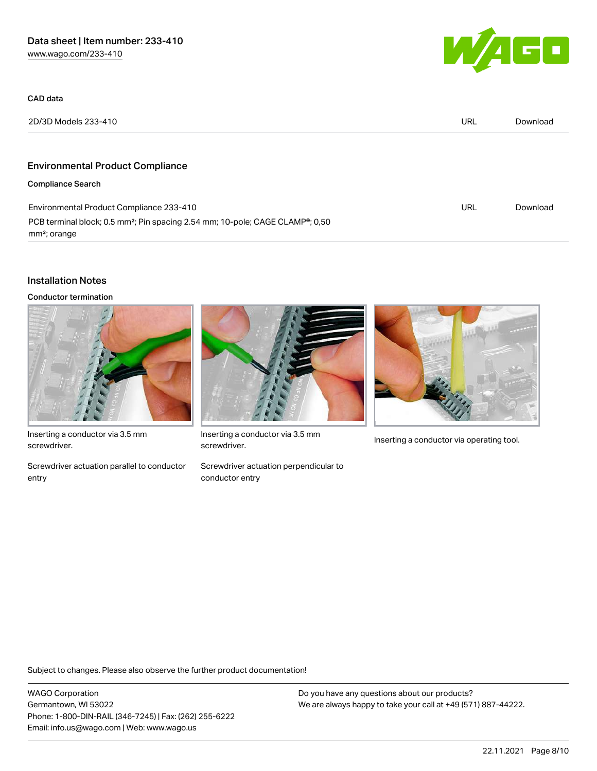

| CAD data                                                                                                                           |            |          |
|------------------------------------------------------------------------------------------------------------------------------------|------------|----------|
| 2D/3D Models 233-410                                                                                                               | <b>URL</b> | Download |
|                                                                                                                                    |            |          |
| <b>Environmental Product Compliance</b>                                                                                            |            |          |
| <b>Compliance Search</b>                                                                                                           |            |          |
| Environmental Product Compliance 233-410                                                                                           | <b>URL</b> | Download |
| PCB terminal block; 0.5 mm <sup>2</sup> ; Pin spacing 2.54 mm; 10-pole; CAGE CLAMP <sup>®</sup> ; 0,50<br>mm <sup>2</sup> ; orange |            |          |

## Installation Notes

Conductor termination



Inserting a conductor via 3.5 mm screwdriver.

Screwdriver actuation parallel to conductor entry



Inserting a conductor via 3.5 mm<br>Inserting a conductor via operating tool. screwdriver.

Screwdriver actuation perpendicular to conductor entry



Subject to changes. Please also observe the further product documentation!

WAGO Corporation Germantown, WI 53022 Phone: 1-800-DIN-RAIL (346-7245) | Fax: (262) 255-6222 Email: info.us@wago.com | Web: www.wago.us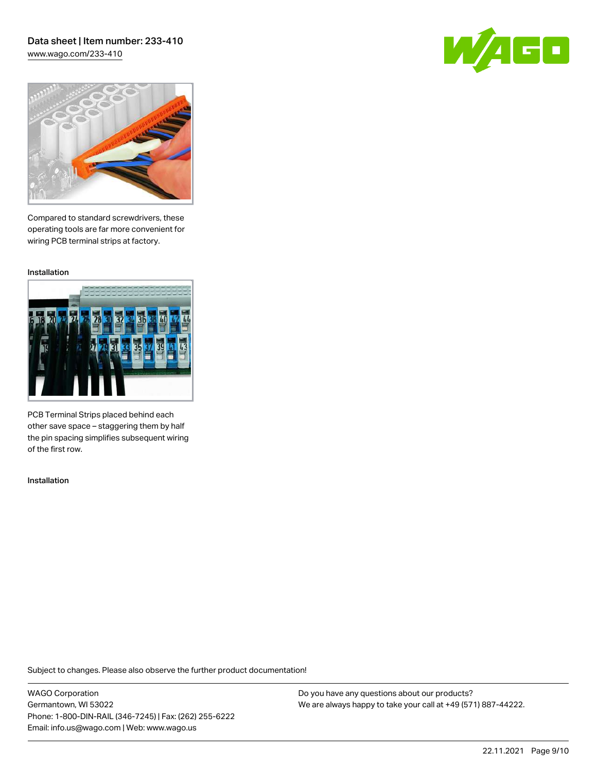# Data sheet | Item number: 233-410

[www.wago.com/233-410](http://www.wago.com/233-410)





Compared to standard screwdrivers, these operating tools are far more convenient for wiring PCB terminal strips at factory.

Installation



PCB Terminal Strips placed behind each other save space – staggering them by half the pin spacing simplifies subsequent wiring of the first row.

Installation

Subject to changes. Please also observe the further product documentation!

WAGO Corporation Germantown, WI 53022 Phone: 1-800-DIN-RAIL (346-7245) | Fax: (262) 255-6222 Email: info.us@wago.com | Web: www.wago.us